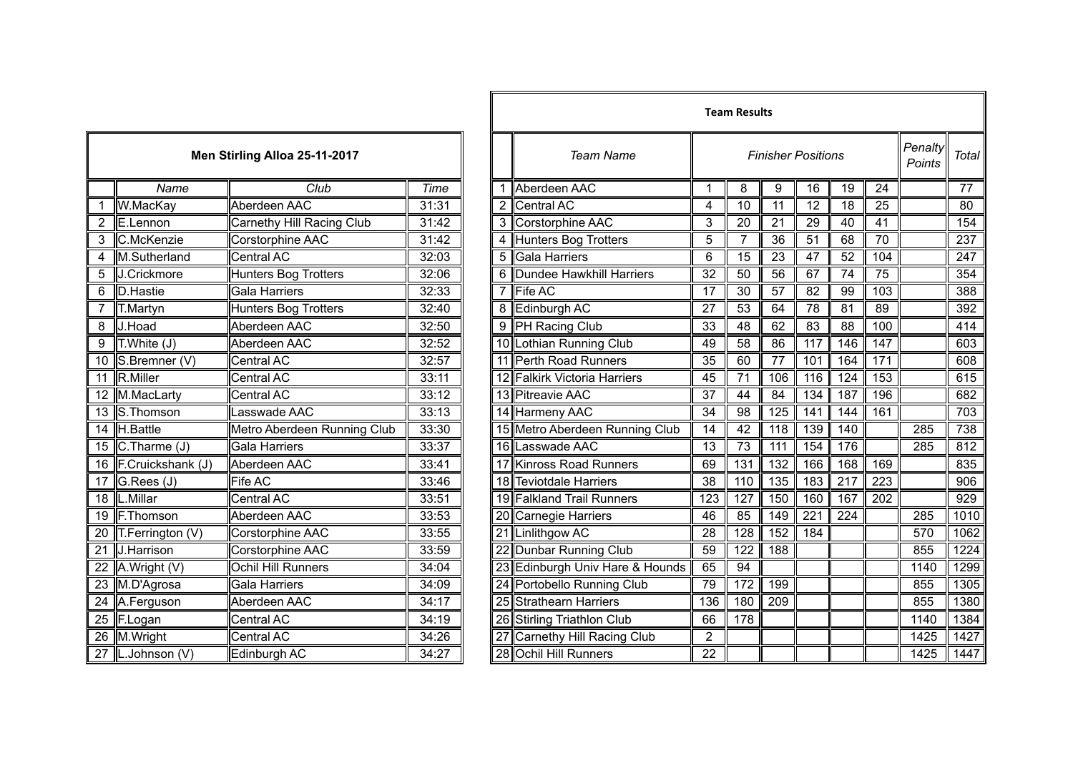|                 | Men Stirling Alloa 25-11-2017 |                             |       |  |  |  |  |  |
|-----------------|-------------------------------|-----------------------------|-------|--|--|--|--|--|
|                 | Name                          | Club                        | Time  |  |  |  |  |  |
| 1               | W.MacKay                      | Aberdeen AAC                | 31:31 |  |  |  |  |  |
| $\overline{2}$  | E.Lennon                      | Carnethy Hill Racing Club   | 31:42 |  |  |  |  |  |
| 3               | C.McKenzie                    | Corstorphine AAC            | 31:42 |  |  |  |  |  |
| 4               | M.Sutherland                  | Central AC                  | 32:03 |  |  |  |  |  |
| 5               | J.Crickmore                   | <b>Hunters Bog Trotters</b> | 32:06 |  |  |  |  |  |
| 6               | D.Hastie                      | Gala Harriers               | 32:33 |  |  |  |  |  |
| 7               | T.Martyn                      | <b>Hunters Bog Trotters</b> | 32:40 |  |  |  |  |  |
| 8               | J.Hoad                        | Aberdeen AAC                | 32:50 |  |  |  |  |  |
| 9               | $\overline{T}$ . White $(J)$  | Aberdeen AAC                | 32:52 |  |  |  |  |  |
| $\overline{10}$ | S.Bremner (V)                 | <b>Central AC</b>           | 32:57 |  |  |  |  |  |
| 11              | R.Miller                      | <b>Central AC</b>           | 33:11 |  |  |  |  |  |
| $\overline{12}$ | M.MacLarty                    | <b>Central AC</b>           | 33:12 |  |  |  |  |  |
| $\overline{13}$ | S.Thomson                     | Lasswade AAC                | 33:13 |  |  |  |  |  |
| $\overline{14}$ | H.Battle                      | Metro Aberdeen Running Club | 33:30 |  |  |  |  |  |
| 15              | $C$ . Tharme $(J)$            | <b>Gala Harriers</b>        | 33:37 |  |  |  |  |  |
| 16              | F.Cruickshank (J)             | Aberdeen AAC                | 33:41 |  |  |  |  |  |
| $\overline{17}$ | G.Rees (J)                    | Fife AC                     | 33:46 |  |  |  |  |  |
| 18              | L.Millar                      | Central AC                  | 33:51 |  |  |  |  |  |
| 19              | F.Thomson                     | Aberdeen AAC                | 33:53 |  |  |  |  |  |
| 20              | T.Ferrington (V)              | Corstorphine AAC            | 33:55 |  |  |  |  |  |
| $\overline{21}$ | J.Harrison                    | Corstorphine AAC            | 33:59 |  |  |  |  |  |
| 22              | A.Wright (V)                  | Ochil Hill Runners          | 34:04 |  |  |  |  |  |
| $\overline{23}$ | M.D'Agrosa                    | <b>Gala Harriers</b>        | 34:09 |  |  |  |  |  |
| 24              | A.Ferguson                    | Aberdeen AAC                | 34:17 |  |  |  |  |  |
| $\overline{25}$ | F.Logan                       | Central AC                  | 34:19 |  |  |  |  |  |
| 26              | M.Wright                      | <b>Central AC</b>           | 34:26 |  |  |  |  |  |
|                 | 27 L.Johnson (V)              | Edinburgh AC                | 34:27 |  |  |  |  |  |

|                         |                      |                               |       |   |                                               |                 | Team Results     |                  |                  |                   |                  |      |                 |
|-------------------------|----------------------|-------------------------------|-------|---|-----------------------------------------------|-----------------|------------------|------------------|------------------|-------------------|------------------|------|-----------------|
|                         |                      | Men Stirling Alloa 25-11-2017 |       |   | <b>Team Name</b><br><b>Finisher Positions</b> |                 |                  |                  |                  | Penalty<br>Points | Total            |      |                 |
|                         | Name                 | Club                          | Time  | 1 | Aberdeen AAC                                  |                 | 8                | 9                | 16               | 19                | 24               |      | $\overline{77}$ |
| $\mathbf{1}$            | W.MacKay             | Aberdeen AAC                  | 31:31 |   | 2 Central AC                                  | 4               | 10               | 11               | 12               | 18                | 25               |      | 80              |
| $\overline{c}$          | E.Lennon             | Carnethy Hill Racing Club     | 31:42 |   | 3 Corstorphine AAC                            | 3               | 20               | 21               | 29               | 40                | 41               |      | 154             |
| 3                       | C.McKenzie           | Corstorphine AAC              | 31:42 |   | 4 Hunters Bog Trotters                        | 5               | 7                | 36               | 51               | 68                | 70               |      | 237             |
| $\overline{4}$          | M.Sutherland         | Central AC                    | 32:03 |   | 5 Gala Harriers                               | 6               | $\overline{15}$  | $\overline{23}$  | $\overline{47}$  | $\overline{52}$   | 104              |      | 247             |
| $\overline{5}$          | J.Crickmore          | <b>Hunters Bog Trotters</b>   | 32:06 |   | 6 Dundee Hawkhill Harriers                    | $\overline{32}$ | 50               | $\overline{56}$  | 67               | $\overline{74}$   | 75               |      | 354             |
| $6\phantom{1}$          | D.Hastie             | <b>Gala Harriers</b>          | 32:33 |   | 7 Fife AC                                     | 17              | 30               | 57               | 82               | 99                | 103              |      | 388             |
|                         | T.Martyn             | <b>Hunters Bog Trotters</b>   | 32:40 |   | 8 Edinburgh AC                                | $\overline{27}$ | 53               | 64               | 78               | 81                | 89               |      | 392             |
| $\overline{\mathbf{8}}$ | J.Hoad               | Aberdeen AAC                  | 32:50 |   | 9 PH Racing Club                              | 33              | 48               | 62               | 83               | 88                | 100              |      | 414             |
| $\overline{9}$          | T.White(J)           | Aberdeen AAC                  | 32:52 |   | 10 Lothian Running Club                       | 49              | $\overline{58}$  | 86               | 117              | 146               | 147              |      | 603             |
| 10 <sup>°</sup>         | S.Bremner (V)        | <b>Central AC</b>             | 32:57 |   | 11 Perth Road Runners                         | 35              | 60               | 77               | 101              | 164               | 171              |      | 608             |
| 11                      | R.Miller             | <b>Central AC</b>             | 33:11 |   | 12 Falkirk Victoria Harriers                  | 45              | 71               | 106              | 116              | 124               | 153              |      | 615             |
|                         | 12 M.MacLarty        | <b>Central AC</b>             | 33:12 |   | 13 Pitreavie AAC                              | $\overline{37}$ | $\overline{44}$  | $\overline{84}$  | 134              | 187               | 196              |      | 682             |
|                         | 13 S. Thomson        | Lasswade AAC                  | 33:13 |   | 14 Harmeny AAC                                | 34              | $\overline{98}$  | 125              | $\overline{141}$ | 144               | 161              |      | 703             |
| $\overline{14}$         | H.Battle             | Metro Aberdeen Running Club   | 33:30 |   | 15 Metro Aberdeen Running Club                | $\overline{14}$ | 42               | 118              | 139              | 140               |                  | 285  | 738             |
|                         | 15 $C$ . Tharme (J)  | Gala Harriers                 | 33:37 |   | 16 Lasswade AAC                               | $\overline{13}$ | 73               | 111              | 154              | 176               |                  | 285  | 812             |
|                         | 16 F.Cruickshank (J) | Aberdeen AAC                  | 33:41 |   | 17 Kinross Road Runners                       | 69              | 131              | 132              | 166              | 168               | 169              |      | 835             |
| 17                      | G. Rees (J)          | <b>Fife AC</b>                | 33:46 |   | 18 Teviotdale Harriers                        | 38              | 110              | $\overline{135}$ | 183              | $\overline{217}$  | $\overline{223}$ |      | 906             |
| 18                      | L.Millar             | <b>Central AC</b>             | 33:51 |   | 19 Falkland Trail Runners                     | 123             | 127              | 150              | 160              | 167               | 202              |      | 929             |
|                         | 19 F.Thomson         | Aberdeen AAC                  | 33:53 |   | 20 Carnegie Harriers                          | 46              | 85               | 149              | $\overline{221}$ | 224               |                  | 285  | 1010            |
|                         | 20 T.Ferrington (V)  | Corstorphine AAC              | 33:55 |   | 21 Linlithgow AC                              | 28              | $\overline{128}$ | 152              | 184              |                   |                  | 570  | 1062            |
| 21                      | J.Harrison           | Corstorphine AAC              | 33:59 |   | 22 Dunbar Running Club                        | 59              | $\overline{122}$ | 188              |                  |                   |                  | 855  | 1224            |
|                         | 22 A.Wright $(V)$    | <b>Ochil Hill Runners</b>     | 34:04 |   | 23 Edinburgh Univ Hare & Hounds               | 65              | 94               |                  |                  |                   |                  | 1140 | 1299            |
| 23                      | M.D'Agrosa           | <b>Gala Harriers</b>          | 34:09 |   | 24 Portobello Running Club                    | 79              | 172              | 199              |                  |                   |                  | 855  | 1305            |
|                         | 24 A.Ferguson        | Aberdeen AAC                  | 34:17 |   | 25 Strathearn Harriers                        | 136             | 180              | $\overline{209}$ |                  |                   |                  | 855  | 1380            |
| $\overline{25}$         | F.Logan              | <b>Central AC</b>             | 34:19 |   | 26 Stirling Triathlon Club                    | 66              | 178              |                  |                  |                   |                  | 1140 | 1384            |
| 26                      | M.Wright             | <b>Central AC</b>             | 34:26 |   | 27 Carnethy Hill Racing Club                  | 2               |                  |                  |                  |                   |                  | 1425 | 1427            |
| $\overline{27}$         | L.Johnson (V)        | Edinburgh AC                  | 34:27 |   | 28 Ochil Hill Runners                         | 22              |                  |                  |                  |                   |                  | 1425 | 1447            |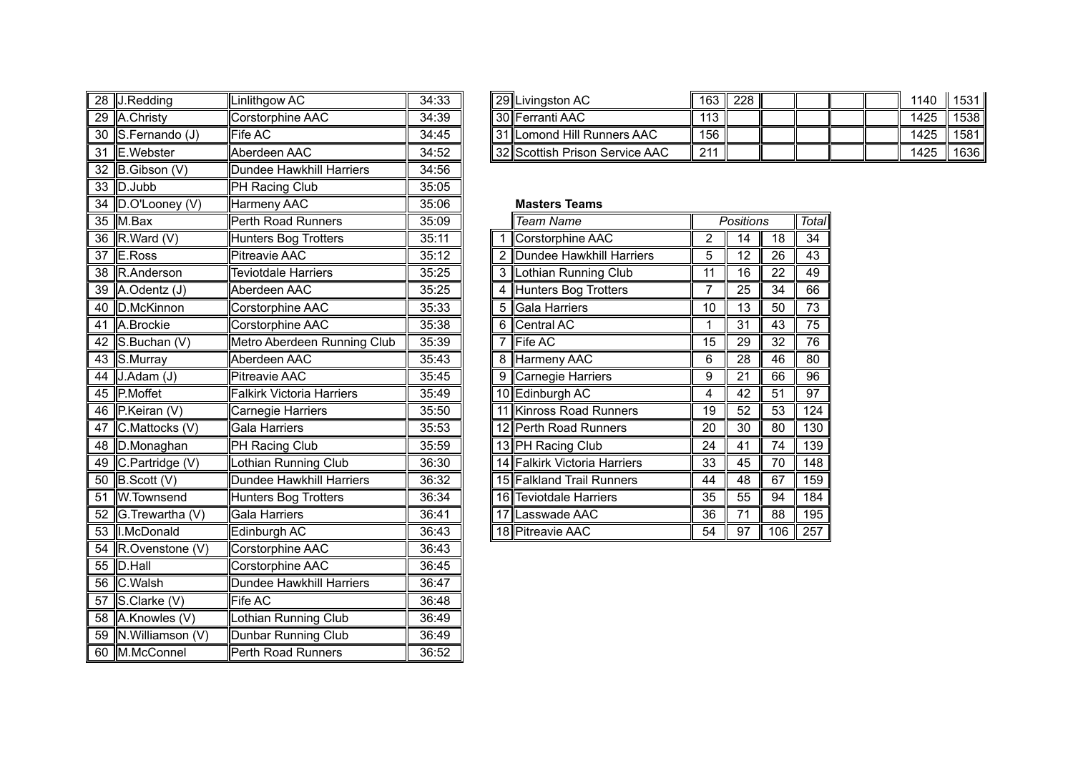|    | 28 J.Redding                    | Linlithgow AC                    | 34:33 |  | 29 Livingston AC               | 163              | 228              |                 |       |
|----|---------------------------------|----------------------------------|-------|--|--------------------------------|------------------|------------------|-----------------|-------|
|    | 29 A.Christy                    | Corstorphine AAC                 | 34:39 |  | 30 Ferranti AAC                | 113              |                  |                 |       |
|    | 30 S.Fernando (J)               | Fife AC                          | 34:45 |  | 31 Lomond Hill Runners AAC     | 156              |                  |                 |       |
|    | 31 E.Webster                    | Aberdeen AAC                     | 34:52 |  | 32 Scottish Prison Service AAC | $\overline{211}$ |                  |                 |       |
|    | 32 B.Gibson (V)                 | <b>Dundee Hawkhill Harriers</b>  | 34:56 |  |                                |                  |                  |                 |       |
|    | 33 D.Jubb                       | PH Racing Club                   | 35:05 |  |                                |                  |                  |                 |       |
| 34 | D.O'Looney (V)                  | Harmeny AAC                      | 35:06 |  | <b>Masters Teams</b>           |                  |                  |                 |       |
|    | $35$ M.Bax                      | Perth Road Runners               | 35:09 |  | <b>Team Name</b>               |                  | <b>Positions</b> |                 | Total |
| 36 | R.Ward (V)                      | Hunters Bog Trotters             | 35:11 |  | 1 Corstorphine AAC             | $\overline{2}$   | $\overline{14}$  | 18              | 34    |
| 37 | E.Ross                          | Pitreavie AAC                    | 35:12 |  | 2 Dundee Hawkhill Harriers     | 5                | $\overline{12}$  | 26              | 43    |
| 38 | R.Anderson                      | <b>Teviotdale Harriers</b>       | 35:25 |  | 3 Lothian Running Club         | 11               | 16               | 22              | 49    |
| 39 | A.Odentz (J)                    | Aberdeen AAC                     | 35:25 |  | 4 Hunters Bog Trotters         | 7                | $\overline{25}$  | $\overline{34}$ | 66    |
| 40 | D.McKinnon                      | Corstorphine AAC                 | 35:33 |  | 5 Gala Harriers                | 10               | 13               | 50              | 73    |
|    | 41 A.Brockie                    | Corstorphine AAC                 | 35:38 |  | 6 Central AC                   | 1                | $\overline{31}$  | 43              | 75    |
|    | 42 S.Buchan (V)                 | Metro Aberdeen Running Club      | 35:39 |  | 7 Fife AC                      | 15               | 29               | $\overline{32}$ | 76    |
|    | 43 S.Murray                     | Aberdeen AAC                     | 35:43 |  | 8 Harmeny AAC                  | 6                | 28               | 46              | 80    |
| 44 | $J.$ Adam $(J)$                 | <b>Pitreavie AAC</b>             | 35:45 |  | 9 Carnegie Harriers            | 9                | $\overline{21}$  | 66              | 96    |
|    | 45 P.Moffet                     | <b>Falkirk Victoria Harriers</b> | 35:49 |  | 10 Edinburgh AC                | 4                | 42               | $\overline{51}$ | 97    |
| 46 | P.Keiran (V)                    | Carnegie Harriers                | 35:50 |  | 11 Kinross Road Runners        | 19               | 52               | 53              | 124   |
| 47 | C.Mattocks (V)                  | Gala Harriers                    | 35:53 |  | 12 Perth Road Runners          | 20               | 30               | 80              | 130   |
| 48 | D.Monaghan                      | PH Racing Club                   | 35:59 |  | 13 PH Racing Club              | 24               | 41               | 74              | 139   |
|    | 49 $\mathbb{C}$ . Partridge (V) | Lothian Running Club             | 36:30 |  | 14 Falkirk Victoria Harriers   | 33               | 45               | 70              | 148   |
| 50 | B.Scott(V)                      | <b>Dundee Hawkhill Harriers</b>  | 36:32 |  | 15 Falkland Trail Runners      | 44               | 48               | 67              | 159   |
| 51 | W.Townsend                      | <b>Hunters Bog Trotters</b>      | 36:34 |  | 16 Teviotdale Harriers         | 35               | $\overline{55}$  | 94              | 184   |
|    | 52 G.Trewartha (V)              | Gala Harriers                    | 36:41 |  | 17 Lasswade AAC                | 36               | $\overline{71}$  | 88              | 195   |
|    | 53   I.McDonald                 | Edinburgh AC                     | 36:43 |  | 18 Pitreavie AAC               | 54               | $\overline{97}$  | 106             | 257   |
|    | 54 R.Ovenstone (V)              | Corstorphine AAC                 | 36:43 |  |                                |                  |                  |                 |       |
|    | $55$ D. Hall                    | Corstorphine AAC                 | 36:45 |  |                                |                  |                  |                 |       |
|    | 56 C.Walsh                      | Dundee Hawkhill Harriers         | 36:47 |  |                                |                  |                  |                 |       |
| 57 | $S$ . Clarke $(V)$              | Fife AC                          | 36:48 |  |                                |                  |                  |                 |       |
| 58 | A.Knowles (V)                   | Lothian Running Club             | 36:49 |  |                                |                  |                  |                 |       |
| 59 | N.Williamson (V)                | Dunbar Running Club              | 36:49 |  |                                |                  |                  |                 |       |
|    | 60 M.McConnel                   | Perth Road Runners               | 36:52 |  |                                |                  |                  |                 |       |

| 28 J.Redding          | Linlithgow AC            | 34:33 |  | 29 Livingston AC               | 163 II           | 228 |  |  | 1140 | 1531 |
|-----------------------|--------------------------|-------|--|--------------------------------|------------------|-----|--|--|------|------|
| 29 A.Christy          | <b>ICorstorphine AAC</b> | 34:39 |  | 130 Ferranti AAC               |                  |     |  |  | 1425 | 1538 |
| 30 S.Fernando (J)     | <b>Fife AC</b>           | 34:45 |  | 131 Lomond Hill Runners AAC    | 156 <sub>1</sub> |     |  |  | 1425 | 1581 |
| 31 <b>I</b> E.Webster | Aberdeen AAC             | 34:52 |  | 32 Scottish Prison Service AAC | 21'              |     |  |  | 1425 | 1636 |

## **Masters Teams**

|     | Team Name                        |    | Positions |     | Total            |
|-----|----------------------------------|----|-----------|-----|------------------|
| 1   | Corstorphine AAC                 | 2  | 14        | 18  | 34               |
| 2   | Dundee Hawkhill Harriers         | 5  | 12        | 26  | 43               |
| 3   | Lothian Running Club             | 11 | 16        | 22  | 49               |
| 4   | <b>Hunters Bog Trotters</b>      | 7  | 25        | 34  | 66               |
| 5   | <b>Gala Harriers</b>             | 10 | 13        | 50  | 73               |
| 6   | <b>Central AC</b>                | 1  | 31        | 43  | 75               |
| 7   | Fife AC                          | 15 | 29        | 32  | 76               |
| 8   | Harmeny AAC                      | 6  | 28        | 46  | 80               |
| 9   | Carnegie Harriers                | 9  | 21        | 66  | 96               |
|     | 10 Edinburgh AC                  | 4  | 42        | 51  | 97               |
| 11  | <b>Kinross Road Runners</b>      | 19 | 52        | 53  | $\overline{124}$ |
|     | 12 Perth Road Runners            | 20 | 30        | 80  | 130              |
|     | 13 PH Racing Club                | 24 | 41        | 74  | 139              |
| 141 | <b>Falkirk Victoria Harriers</b> | 33 | 45        | 70  | 148              |
|     | 15 Falkland Trail Runners        | 44 | 48        | 67  | 159              |
| 16  | <b>Teviotdale Harriers</b>       | 35 | 55        | 94  | 184              |
|     | 17 Lasswade AAC                  | 36 | 71        | 88  | 195              |
|     | 18 Pitreavie AAC                 | 54 | 97        | 106 | 257              |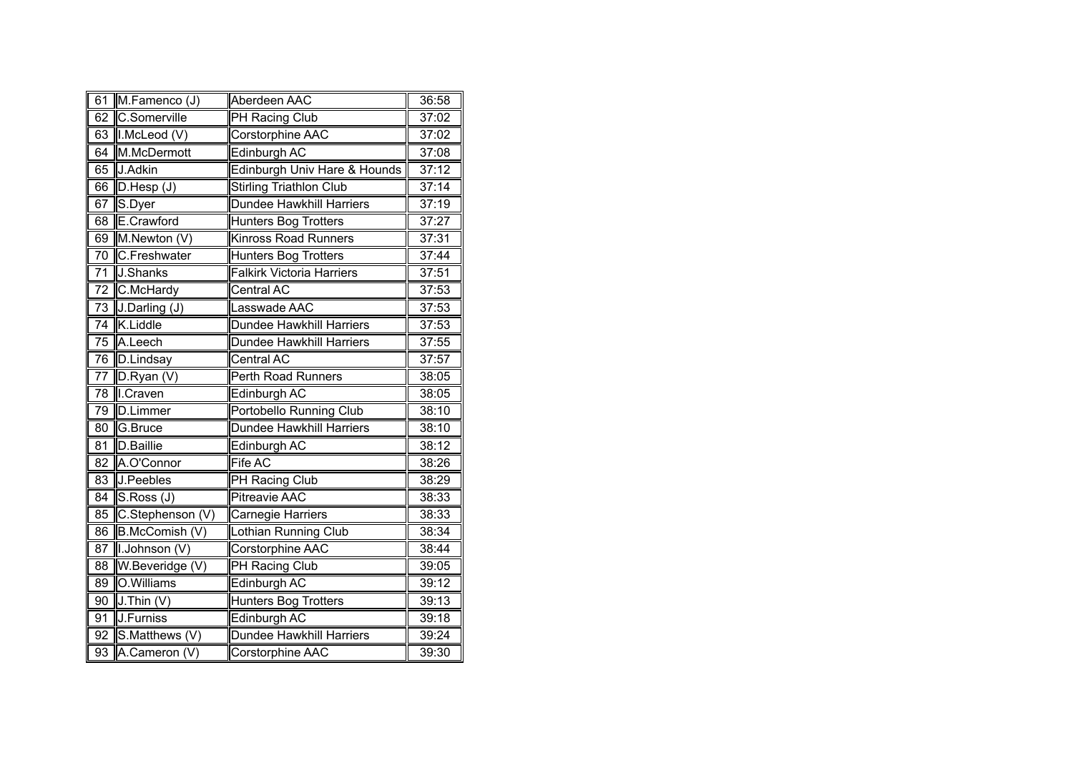| 61              | M.Famenco (J)    | Aberdeen AAC                     | 36:58 |
|-----------------|------------------|----------------------------------|-------|
| 62              | C.Somerville     | <b>PH Racing Club</b>            | 37:02 |
| 63              | I.McLeod (V)     | Corstorphine AAC                 | 37:02 |
| 64              | M.McDermott      | <b>Edinburgh AC</b>              | 37:08 |
| 65              | J.Adkin          | Edinburgh Univ Hare & Hounds     | 37:12 |
| 66              | D.Hesp(J)        | <b>Stirling Triathlon Club</b>   | 37:14 |
| 67              | S.Dyer           | <b>Dundee Hawkhill Harriers</b>  | 37:19 |
| 68              | E.Crawford       | Hunters Bog Trotters             | 37:27 |
| 69              | M.Newton (V)     | Kinross Road Runners             | 37:31 |
| 70              | C.Freshwater     | Hunters Bog Trotters             | 37:44 |
| 71              | J.Shanks         | <b>Falkirk Victoria Harriers</b> | 37:51 |
| 72              | C.McHardy        | Central AC                       | 37:53 |
| 73              | J.Darling (J)    | Lasswade AAC                     | 37:53 |
| 74              | K.Liddle         | Dundee Hawkhill Harriers         | 37:53 |
| $\overline{75}$ | A.Leech          | <b>Dundee Hawkhill Harriers</b>  | 37:55 |
| 76              | D.Lindsay        | Central AC                       | 37:57 |
| 77              | D.Ryan (V)       | Perth Road Runners               | 38:05 |
| 78              | I.Craven         | <b>Edinburgh AC</b>              | 38:05 |
| 79              | <b>D.Limmer</b>  | Portobello Running Club          | 38:10 |
| 80              | G.Bruce          | <b>Dundee Hawkhill Harriers</b>  | 38:10 |
| $\overline{81}$ | D.Baillie        | Edinburgh AC                     | 38:12 |
| $\overline{82}$ | A.O'Connor       | <b>Fife AC</b>                   | 38:26 |
| 83              | J.Peebles        | PH Racing Club                   | 38:29 |
| 84              | S.Ross (J)       | <b>Pitreavie AAC</b>             | 38:33 |
| 85              | C.Stephenson (V) | Carnegie Harriers                | 38:33 |
| 86              | B.McComish (V)   | Lothian Running Club             | 38:34 |
| 87              | I.Johnson (V)    | Corstorphine AAC                 | 38:44 |
| $\overline{88}$ | W.Beveridge (V)  | <b>PH Racing Club</b>            | 39:05 |
| $\overline{89}$ | O.Williams       | Edinburgh AC                     | 39:12 |
| 90              | $J$ . Thin $(V)$ | Hunters Bog Trotters             | 39:13 |
| 91              | J.Furniss        | Edinburgh AC                     | 39:18 |
| 92              | S.Matthews (V)   | <b>Dundee Hawkhill Harriers</b>  | 39:24 |
| 93              | A.Cameron (V)    | Corstorphine AAC                 | 39:30 |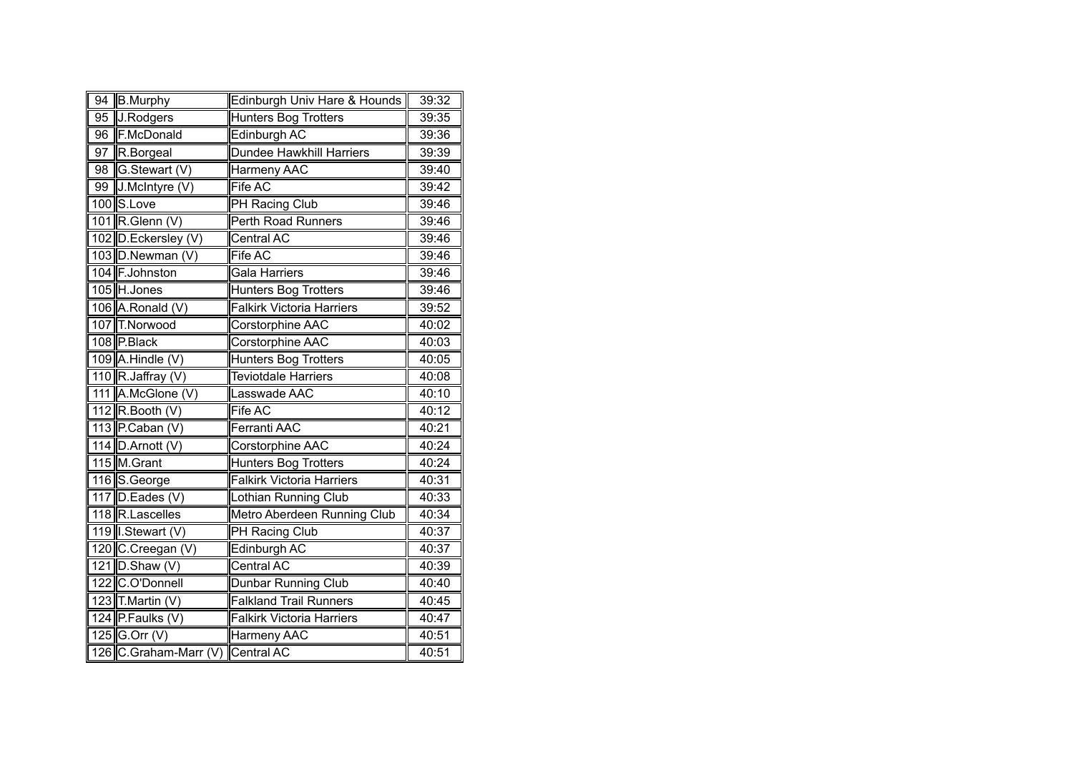| 94              | <b>B.Murphy</b>                  | Edinburgh Univ Hare & Hounds     | 39:32 |
|-----------------|----------------------------------|----------------------------------|-------|
| $\overline{95}$ | J.Rodgers                        | <b>Hunters Bog Trotters</b>      | 39:35 |
| 96              | F.McDonald                       | <b>Edinburgh AC</b>              | 39:36 |
| 97              | R.Borgeal                        | <b>Dundee Hawkhill Harriers</b>  | 39:39 |
| 98              | G.Stewart (V)                    | Harmeny AAC                      | 39:40 |
| 99              | J.McIntyre (V)                   | Fife AC                          | 39:42 |
|                 | 100 S.Love                       | PH Racing Club                   | 39:46 |
|                 | 101 R.Glenn (V)                  | Perth Road Runners               | 39:46 |
|                 | 102 D.Eckersley (V)              | <b>Central AC</b>                | 39:46 |
|                 | 103 D.Newman (V)                 | Fife AC                          | 39:46 |
|                 | 104 F.Johnston                   | Gala Harriers                    | 39:46 |
|                 | 105 H.Jones                      | <b>Hunters Bog Trotters</b>      | 39:46 |
|                 | 106 A.Ronald (V)                 | <b>Falkirk Victoria Harriers</b> | 39:52 |
|                 | 107 T.Norwood                    | Corstorphine AAC                 | 40:02 |
|                 | 108 P.Black                      | <b>Corstorphine AAC</b>          | 40:03 |
|                 | $109$ A. Hindle (V)              | <b>Hunters Bog Trotters</b>      | 40:05 |
|                 | 110 R. Jaffray $(V)$             | <b>Teviotdale Harriers</b>       | 40:08 |
|                 | 111 A.McGlone (V)                | Lasswade AAC                     | 40:10 |
|                 | 112 $R$ . Booth (V)              | Fife AC                          | 40:12 |
|                 | 113 $P$ Caban (V)                | <b>Ferranti AAC</b>              | 40:21 |
|                 | 114 $D.A$ rnott (V)              | Corstorphine AAC                 | 40:24 |
|                 | 115 M.Grant                      | <b>Hunters Bog Trotters</b>      | 40:24 |
|                 | 116 S.George                     | <b>Falkirk Victoria Harriers</b> | 40:31 |
|                 | 117 $D$ . Eades (V)              | Lothian Running Club             | 40:33 |
|                 | 118 R.Lascelles                  | Metro Aberdeen Running Club      | 40:34 |
|                 | 119 I.Stewart (V)                | <b>PH Racing Club</b>            | 40:37 |
|                 | 120 C.Creegan (V)                | Edinburgh AC                     | 40:37 |
|                 | 121 D.Shaw (V)                   | Central AC                       | 40:39 |
|                 | 122 C.O'Donnell                  | Dunbar Running Club              | 40:40 |
|                 | 123 T.Martin (V)                 | <b>Falkland Trail Runners</b>    | 40:45 |
|                 | 124 P.Faulks (V)                 | <b>Falkirk Victoria Harriers</b> | 40:47 |
|                 | 125 G.Orr $(V)$                  | Harmeny AAC                      | 40:51 |
|                 | 126 C.Graham-Marr (V) Central AC |                                  | 40:51 |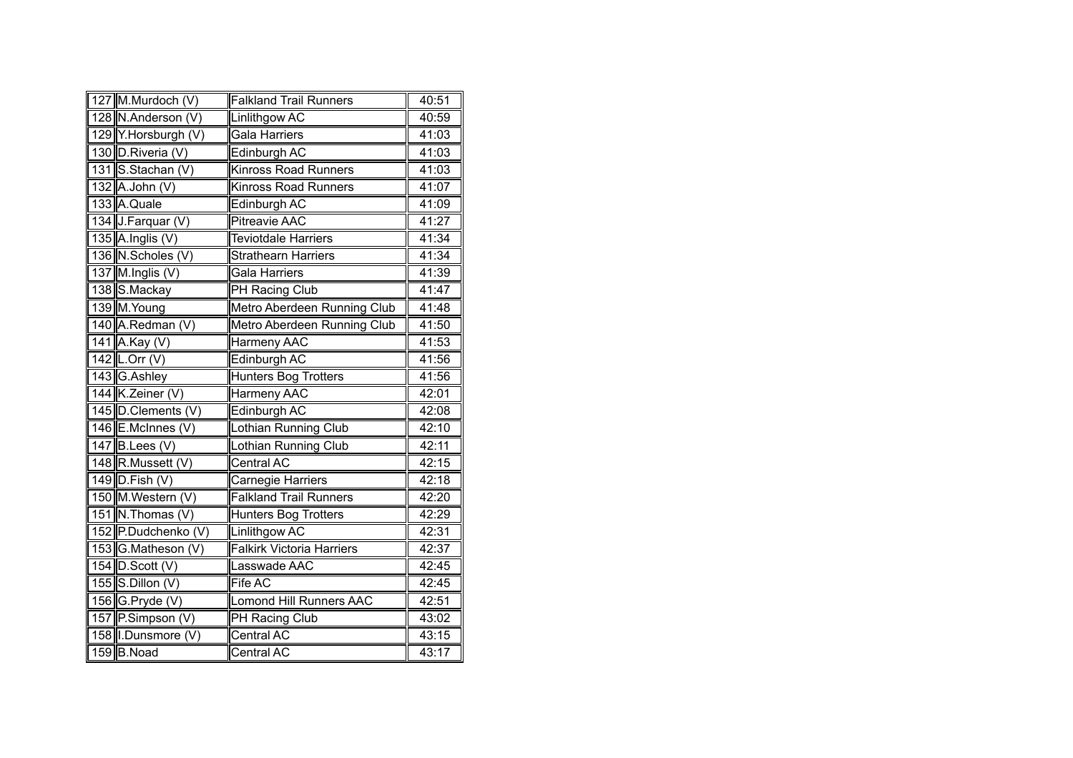| 127 M.Murdoch (V)    | <b>Falkland Trail Runners</b>    | 40:51 |
|----------------------|----------------------------------|-------|
| 128 N.Anderson (V)   | Linlithgow AC                    | 40:59 |
| 129 Y.Horsburgh (V)  | <b>Gala Harriers</b>             | 41:03 |
| 130 D.Riveria (V)    | Edinburgh AC                     | 41:03 |
| 131 S.Stachan (V)    | <b>Kinross Road Runners</b>      | 41:03 |
| 132 A.John (V)       | <b>Kinross Road Runners</b>      | 41:07 |
| 133 A.Quale          | Edinburgh AC                     | 41:09 |
| 134 J.Farquar (V)    | <b>Pitreavie AAC</b>             | 41:27 |
| 135 $A$ . Inglis (V) | <b>Teviotdale Harriers</b>       | 41:34 |
| 136 N.Scholes (V)    | <b>Strathearn Harriers</b>       | 41:34 |
| 137 M.Inglis (V)     | <b>Gala Harriers</b>             | 41:39 |
| 138 S.Mackay         | PH Racing Club                   | 41:47 |
| 139 M.Young          | Metro Aberdeen Running Club      | 41:48 |
| 140 A.Redman (V)     | Metro Aberdeen Running Club      | 41:50 |
| 141 A.Kay (V)        | <b>Harmeny AAC</b>               | 41:53 |
| $142$ L.Orr (V)      | Edinburgh AC                     | 41:56 |
| 143 G.Ashley         | <b>Hunters Bog Trotters</b>      | 41:56 |
| 144 K.Zeiner (V)     | Harmeny AAC                      | 42:01 |
| 145 D.Clements (V)   | <b>Edinburgh AC</b>              | 42:08 |
| $146$ E.McInnes (V)  | Lothian Running Club             | 42:10 |
| $147$ B. Lees (V)    | Lothian Running Club             | 42:11 |
| 148 R.Mussett (V)    | Central AC                       | 42:15 |
| $149$ D. Fish (V)    | Carnegie Harriers                | 42:18 |
| 150 M.Western (V)    | <b>Falkland Trail Runners</b>    | 42:20 |
| 151 N. Thomas (V)    | <b>Hunters Bog Trotters</b>      | 42:29 |
| 152 P.Dudchenko (V)  | <b>Linlithgow AC</b>             | 42:31 |
| 153 G.Matheson (V)   | <b>Falkirk Victoria Harriers</b> | 42:37 |
| 154 D.Scott (V)      | Lasswade AAC                     | 42:45 |
| 155 S.Dillon $(V)$   | Fife AC                          | 42:45 |
| 156 G.Pryde (V)      | <b>Lomond Hill Runners AAC</b>   | 42:51 |
| 157 P.Simpson (V)    | PH Racing Club                   | 43:02 |
| 158 I.Dunsmore (V)   | Central AC                       | 43:15 |
| 159 B.Noad           | Central AC                       | 43:17 |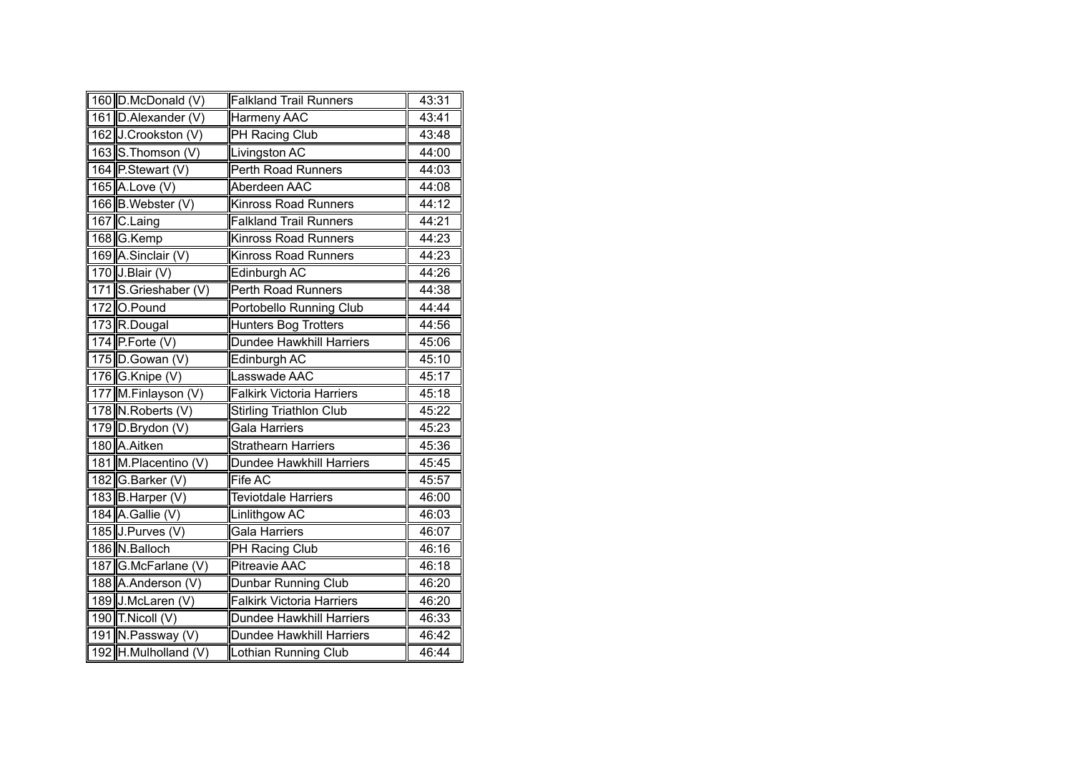| 160 D.McDonald (V)   | <b>Falkland Trail Runners</b>    | 43:31 |
|----------------------|----------------------------------|-------|
| 161 D.Alexander (V)  | Harmeny AAC                      | 43:41 |
| 162 J.Crookston (V)  | <b>PH Racing Club</b>            | 43:48 |
| 163 S.Thomson (V)    | Livingston AC                    | 44:00 |
| 164 P.Stewart (V)    | Perth Road Runners               | 44:03 |
| 165 A.Love (V)       | Aberdeen AAC                     | 44:08 |
| 166 B.Webster (V)    | <b>Kinross Road Runners</b>      | 44:12 |
| 167 C.Laing          | <b>Falkland Trail Runners</b>    | 44:21 |
| 168 G.Kemp           | <b>Kinross Road Runners</b>      | 44:23 |
| 169 A.Sinclair (V)   | <b>Kinross Road Runners</b>      | 44:23 |
| 170 J.Blair (V)      | Edinburgh AC                     | 44:26 |
| 171 S.Grieshaber (V) | <b>Perth Road Runners</b>        | 44:38 |
| 172 O.Pound          | Portobello Running Club          | 44:44 |
| 173 R.Dougal         | <b>Hunters Bog Trotters</b>      | 44:56 |
| 174 P.Forte $(V)$    | <b>Dundee Hawkhill Harriers</b>  | 45:06 |
| $175$ D. Gowan (V)   | Edinburgh AC                     | 45:10 |
| 176 G.Knipe (V)      | Lasswade AAC                     | 45:17 |
| 177 M.Finlayson (V)  | <b>Falkirk Victoria Harriers</b> | 45:18 |
| 178 N. Roberts (V)   | Stirling Triathlon Club          | 45:22 |
| 179 D.Brydon (V)     | Gala Harriers                    | 45:23 |
| 180 A.Aitken         | <b>Strathearn Harriers</b>       | 45:36 |
| 181 M.Placentino (V) | Dundee Hawkhill Harriers         | 45:45 |
| 182 G.Barker (V)     | Fife AC                          | 45:57 |
| 183 B.Harper (V)     | <b>Teviotdale Harriers</b>       | 46:00 |
| 184 A.Gallie (V)     | <b>Linlithgow AC</b>             | 46:03 |
| 185 J.Purves (V)     | <b>Gala Harriers</b>             | 46:07 |
| 186 N.Balloch        | PH Racing Club                   | 46:16 |
| 187 G.McFarlane (V)  | <b>Pitreavie AAC</b>             | 46:18 |
| 188 A.Anderson (V)   | Dunbar Running Club              | 46:20 |
| 189 J.McLaren (V)    | <b>Falkirk Victoria Harriers</b> | 46:20 |
| 190 $T$ . Nicoll (V) | Dundee Hawkhill Harriers         | 46:33 |
| 191 N.Passway (V)    | Dundee Hawkhill Harriers         | 46:42 |
| 192 H.Mulholland (V) | Lothian Running Club             | 46:44 |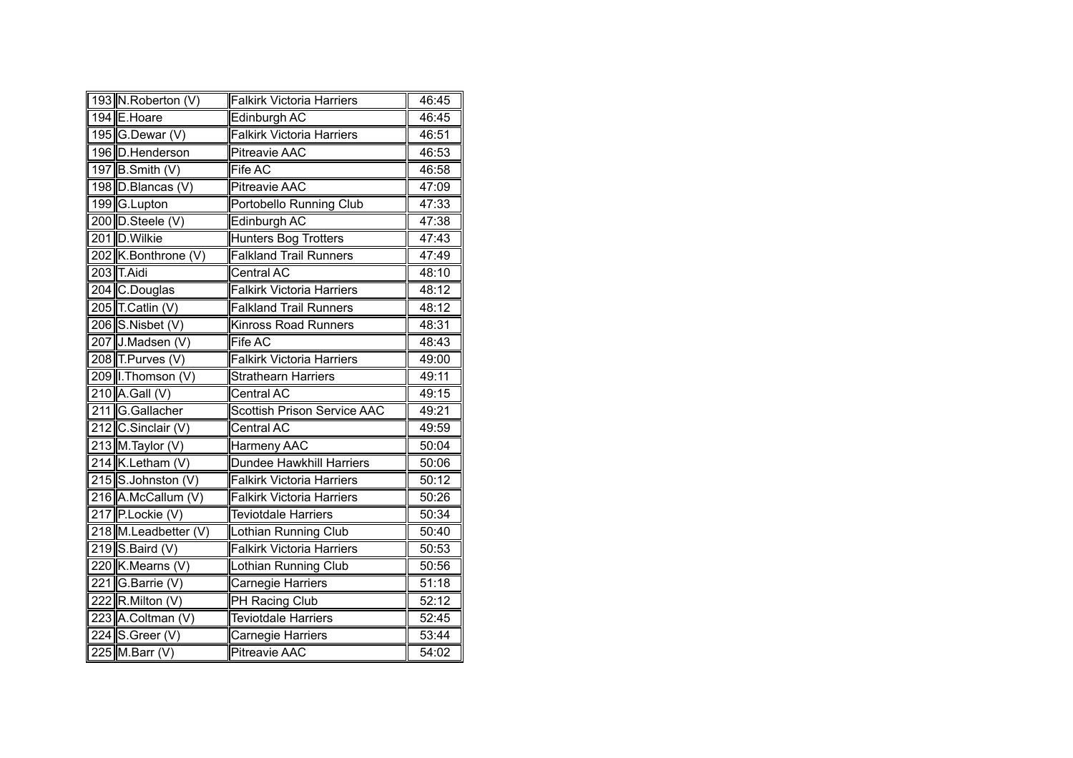| 193 N.Roberton (V)       | <b>Falkirk Victoria Harriers</b>   | 46:45 |
|--------------------------|------------------------------------|-------|
| 194 E.Hoare              | Edinburgh AC                       | 46:45 |
| 195 G.Dewar (V)          | <b>Falkirk Victoria Harriers</b>   | 46:51 |
| 196 D.Henderson          | <b>Pitreavie AAC</b>               | 46:53 |
| 197 $\vert$ B.Smith (V)  | Fife AC                            | 46:58 |
| 198 D.Blancas (V)        | Pitreavie AAC                      | 47:09 |
| 199 G.Lupton             | Portobello Running Club            | 47:33 |
| 200 $\vert$ D.Steele (V) | Edinburgh AC                       | 47:38 |
| 201 D. Wilkie            | Hunters Bog Trotters               | 47:43 |
| 202 K.Bonthrone (V)      | <b>Falkland Trail Runners</b>      | 47:49 |
| 203 T.Aidi               | Central AC                         | 48:10 |
| 204 C.Douglas            | <b>Falkirk Victoria Harriers</b>   | 48:12 |
| 205 T.Catlin (V)         | <b>Falkland Trail Runners</b>      | 48:12 |
| 206 S.Nisbet (V)         | <b>Kinross Road Runners</b>        | 48:31 |
| 207 J.Madsen (V)         | <b>Fife AC</b>                     | 48:43 |
| $208$ T. Purves (V)      | <b>Falkirk Victoria Harriers</b>   | 49:00 |
| 209   Thomson (V)        | <b>Strathearn Harriers</b>         | 49:11 |
| 210 A.Gall (V)           | <b>Central AC</b>                  | 49:15 |
| 211 G.Gallacher          | <b>Scottish Prison Service AAC</b> | 49:21 |
| 212 C.Sinclair (V)       | <b>Central AC</b>                  | 49:59 |
| 213 M.Taylor (V)         | Harmeny AAC                        | 50:04 |
| 214 K.Letham (V)         | <b>Dundee Hawkhill Harriers</b>    | 50:06 |
| 215 S.Johnston (V)       | <b>Falkirk Victoria Harriers</b>   | 50:12 |
| 216 A.McCallum (V)       | <b>Falkirk Victoria Harriers</b>   | 50:26 |
| 217 P.Lockie (V)         | <b>Teviotdale Harriers</b>         | 50:34 |
| 218 M.Leadbetter (V)     | Lothian Running Club               | 50:40 |
| $219$ S. Baird (V)       | <b>Falkirk Victoria Harriers</b>   | 50:53 |
| 220 K.Mearns (V)         | Lothian Running Club               | 50:56 |
| 221 G.Barrie (V)         | Carnegie Harriers                  | 51:18 |
| 222 $R$ . Milton (V)     | PH Racing Club                     | 52:12 |
| 223 A.Coltman (V)        | <b>Teviotdale Harriers</b>         | 52:45 |
| 224 S. Greer $(V)$       | Carnegie Harriers                  | 53:44 |
| 225 M.Barr $(V)$         | <b>Pitreavie AAC</b>               | 54:02 |